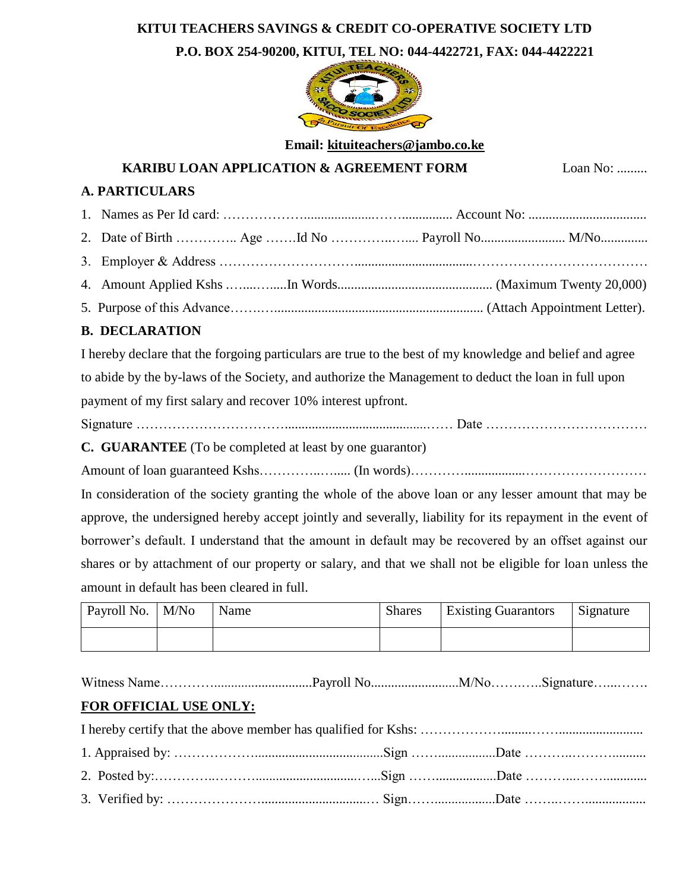# **KITUI TEACHERS SAVINGS & CREDIT CO-OPERATIVE SOCIETY LTD**

**P.O. BOX 254-90200, KITUI, TEL NO: 044-4422721, FAX: 044-4422221**



**Email: [kituiteachers@jambo.co.ke](mailto:kituiteachers@jambo.co.ke)**

**KARIBU LOAN APPLICATION & AGREEMENT FORM** Loan No: .........

### **A. PARTICULARS**

## **B. DECLARATION**

I hereby declare that the forgoing particulars are true to the best of my knowledge and belief and agree to abide by the by-laws of the Society, and authorize the Management to deduct the loan in full upon payment of my first salary and recover 10% interest upfront.

**C. GUARANTEE** (To be completed at least by one guarantor)

Amount of loan guaranteed Kshs…………..…..... (In words)…………..................………………………

In consideration of the society granting the whole of the above loan or any lesser amount that may be approve, the undersigned hereby accept jointly and severally, liability for its repayment in the event of borrower's default. I understand that the amount in default may be recovered by an offset against our shares or by attachment of our property or salary, and that we shall not be eligible for loan unless the amount in default has been cleared in full.

| Payroll No.   M/No | Name | <b>Shares</b> | <b>Existing Guarantors</b> | Signature |
|--------------------|------|---------------|----------------------------|-----------|
|                    |      |               |                            |           |

Witness Name………….............................Payroll No..........................M/No…….…..Signature…...…….

# **FOR OFFICIAL USE ONLY:**